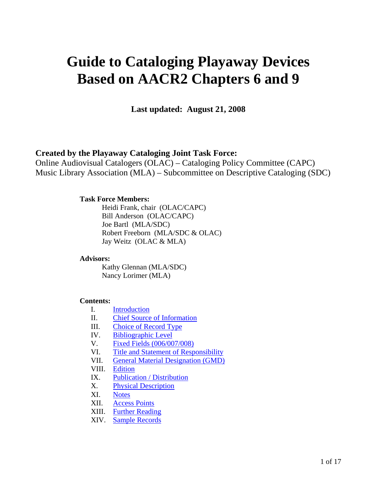# **Guide to Cataloging Playaway Devices Based on AACR2 Chapters 6 and 9**

**Last updated: August 21, 2008** 

## **Created by the Playaway Cataloging Joint Task Force:**

Online Audiovisual Catalogers (OLAC) – Cataloging Policy Committee (CAPC) Music Library Association (MLA) – Subcommittee on Descriptive Cataloging (SDC)

## **Task Force Members:**

 Heidi Frank, chair (OLAC/CAPC) Bill Anderson (OLAC/CAPC) Joe Bartl (MLA/SDC) Robert Freeborn (MLA/SDC & OLAC) Jay Weitz (OLAC & MLA)

#### **Advisors:**

 Kathy Glennan (MLA/SDC) Nancy Lorimer (MLA)

#### **Contents:**

- I. Introduction
- II. Chief Source of Information
- III. Choice of Record Type
- IV. Bibliographic Level
- V. Fixed Fields (006/007/008)
- VI. Title and Statement of Responsibility
- VII. General Material Designation (GMD)
- VIII. Edition
- IX. Publication / Distribution
- X. Physical Description
- XI. Notes
- XII. Access Points
- XIII. Further Reading
- XIV. Sample Records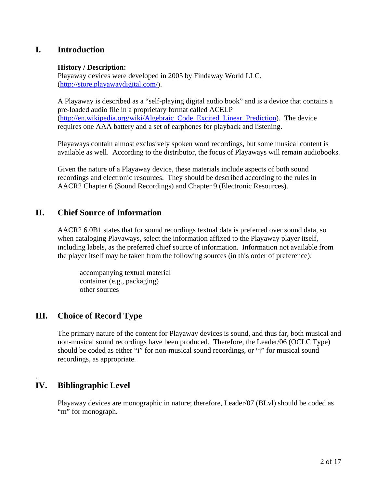# **I. Introduction**

## **History / Description:**

Playaway devices were developed in 2005 by Findaway World LLC. (http://store.playawaydigital.com/).

A Playaway is described as a "self-playing digital audio book" and is a device that contains a pre-loaded audio file in a proprietary format called ACELP (http://en.wikipedia.org/wiki/Algebraic\_Code\_Excited\_Linear\_Prediction). The device requires one AAA battery and a set of earphones for playback and listening.

Playaways contain almost exclusively spoken word recordings, but some musical content is available as well. According to the distributor, the focus of Playaways will remain audiobooks.

Given the nature of a Playaway device, these materials include aspects of both sound recordings and electronic resources. They should be described according to the rules in AACR2 Chapter 6 (Sound Recordings) and Chapter 9 (Electronic Resources).

# **II. Chief Source of Information**

AACR2 6.0B1 states that for sound recordings textual data is preferred over sound data, so when cataloging Playaways, select the information affixed to the Playaway player itself, including labels, as the preferred chief source of information. Information not available from the player itself may be taken from the following sources (in this order of preference):

 accompanying textual material container (e.g., packaging) other sources

# **III. Choice of Record Type**

The primary nature of the content for Playaway devices is sound, and thus far, both musical and non-musical sound recordings have been produced. Therefore, the Leader/06 (OCLC Type) should be coded as either "i" for non-musical sound recordings, or "j" for musical sound recordings, as appropriate.

# **IV. Bibliographic Level**

.

Playaway devices are monographic in nature; therefore, Leader/07 (BLvl) should be coded as "m" for monograph.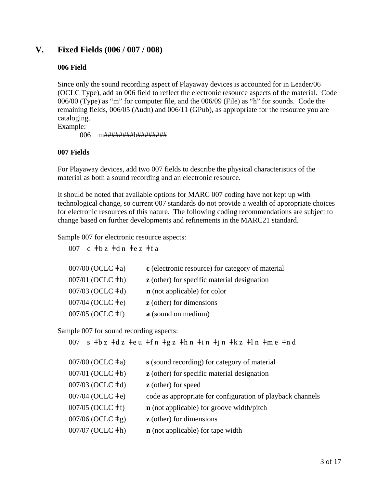# **V. Fixed Fields (006 / 007 / 008)**

## **006 Field**

Since only the sound recording aspect of Playaway devices is accounted for in Leader/06 (OCLC Type), add an 006 field to reflect the electronic resource aspects of the material. Code 006/00 (Type) as "m" for computer file, and the 006/09 (File) as "h" for sounds. Code the remaining fields, 006/05 (Audn) and 006/11 (GPub), as appropriate for the resource you are cataloging.

Example:

006 m########h########

## **007 Fields**

For Playaway devices, add two 007 fields to describe the physical characteristics of the material as both a sound recording and an electronic resource.

It should be noted that available options for MARC 007 coding have not kept up with technological change, so current 007 standards do not provide a wealth of appropriate choices for electronic resources of this nature. The following coding recommendations are subject to change based on further developments and refinements in the MARC21 standard.

Sample 007 for electronic resource aspects:

007 c  $\pm$ b z  $\pm$ d n  $\pm$ e z  $\pm$ f a

| 007/00 (OCLC $\pm$ a) | c (electronic resource) for category of material   |
|-----------------------|----------------------------------------------------|
| 007/01 (OCLC ‡b)      | <b>z</b> (other) for specific material designation |
| 007/03 (OCLC ‡d)      | <b>n</b> (not applicable) for color                |
| 007/04 (OCLC ‡e)      | <b>z</b> (other) for dimensions                    |
| 007/05 (OCLC ‡f)      | a (sound on medium)                                |

Sample 007 for sound recording aspects:

|                           | 007 s $\pm$ b z $\pm$ d z $\pm$ e u $\pm$ f n $\pm$ g z $\pm$ h n $\pm$ i n $\pm$ j n $\pm$ k z $\pm$ l n $\pm$ m e $\pm$ n d |
|---------------------------|-------------------------------------------------------------------------------------------------------------------------------|
| 007/00 (OCLC $\pm$ a)     | s (sound recording) for category of material                                                                                  |
| 007/01 (OCLC $\pm b$ )    | <b>z</b> (other) for specific material designation                                                                            |
| 007/03 (OCLC $\dagger$ d) | <b>z</b> (other) for speed                                                                                                    |
| 007/04 (OCLC $\pm e$ )    | code as appropriate for configuration of playback channels                                                                    |
| 007/05 (OCLC $\pm$ f)     | $\bf{n}$ (not applicable) for groove width/pitch                                                                              |
| 007/06 (OCLC $\pm$ g)     | <b>z</b> (other) for dimensions                                                                                               |
| $007/07$ (OCLC $\pm h$ )  | <b>n</b> (not applicable) for tape width                                                                                      |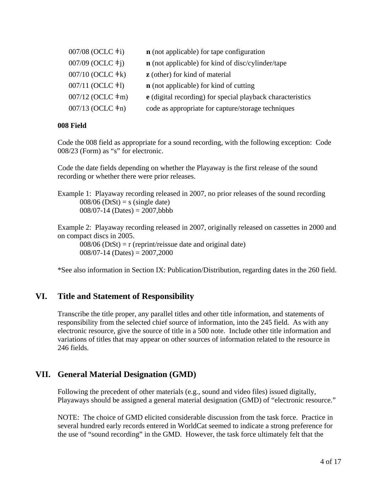| <b>n</b> (not applicable) for tape configuration                  |
|-------------------------------------------------------------------|
| <b>n</b> (not applicable) for kind of disc/cylinder/tape          |
| <b>z</b> (other) for kind of material                             |
| <b>n</b> (not applicable) for kind of cutting                     |
| <b>e</b> (digital recording) for special playback characteristics |
| code as appropriate for capture/storage techniques                |
|                                                                   |

## **008 Field**

Code the 008 field as appropriate for a sound recording, with the following exception: Code 008/23 (Form) as "s" for electronic.

Code the date fields depending on whether the Playaway is the first release of the sound recording or whether there were prior releases.

Example 1: Playaway recording released in 2007, no prior releases of the sound recording  $008/06$  (DtSt) = s (single date)  $008/07-14$  (Dates) = 2007,bbbb

Example 2: Playaway recording released in 2007, originally released on cassettes in 2000 and on compact discs in 2005.

 $008/06$  (DtSt) = r (reprint/reissue date and original date)  $008/07-14$  (Dates) =  $2007,2000$ 

\*See also information in Section IX: Publication/Distribution, regarding dates in the 260 field.

# **VI. Title and Statement of Responsibility**

Transcribe the title proper, any parallel titles and other title information, and statements of responsibility from the selected chief source of information, into the 245 field. As with any electronic resource, give the source of title in a 500 note. Include other title information and variations of titles that may appear on other sources of information related to the resource in 246 fields.

## **VII. General Material Designation (GMD)**

Following the precedent of other materials (e.g., sound and video files) issued digitally, Playaways should be assigned a general material designation (GMD) of "electronic resource."

NOTE: The choice of GMD elicited considerable discussion from the task force. Practice in several hundred early records entered in WorldCat seemed to indicate a strong preference for the use of "sound recording" in the GMD. However, the task force ultimately felt that the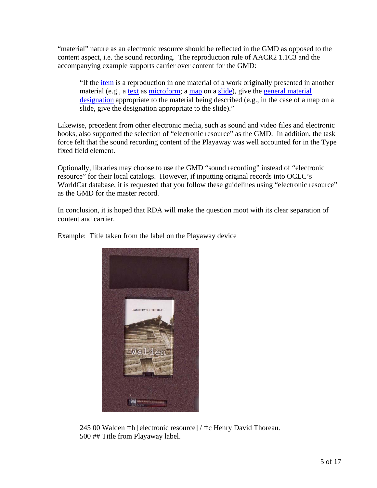"material" nature as an electronic resource should be reflected in the GMD as opposed to the content aspect, i.e. the sound recording. The reproduction rule of AACR2 1.1C3 and the accompanying example supports carrier over content for the GMD:

"If the item is a reproduction in one material of a work originally presented in another material (e.g., a text as microform; a map on a slide), give the general material designation appropriate to the material being described (e.g., in the case of a map on a slide, give the designation appropriate to the slide)."

Likewise, precedent from other electronic media, such as sound and video files and electronic books, also supported the selection of "electronic resource" as the GMD. In addition, the task force felt that the sound recording content of the Playaway was well accounted for in the Type fixed field element.

Optionally, libraries may choose to use the GMD "sound recording" instead of "electronic resource" for their local catalogs. However, if inputting original records into OCLC's WorldCat database, it is requested that you follow these guidelines using "electronic resource" as the GMD for the master record.

In conclusion, it is hoped that RDA will make the question moot with its clear separation of content and carrier.



Example: Title taken from the label on the Playaway device

245 00 Walden  $\pm h$  [electronic resource] /  $\pm c$  Henry David Thoreau. 500 ## Title from Playaway label.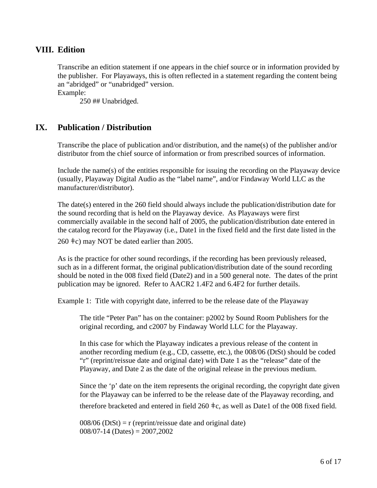## **VIII. Edition**

Transcribe an edition statement if one appears in the chief source or in information provided by the publisher. For Playaways, this is often reflected in a statement regarding the content being an "abridged" or "unabridged" version.

Example:

250 ## Unabridged.

# **IX. Publication / Distribution**

Transcribe the place of publication and/or distribution, and the name(s) of the publisher and/or distributor from the chief source of information or from prescribed sources of information.

Include the name(s) of the entities responsible for issuing the recording on the Playaway device (usually, Playaway Digital Audio as the "label name", and/or Findaway World LLC as the manufacturer/distributor).

The date(s) entered in the 260 field should always include the publication/distribution date for the sound recording that is held on the Playaway device. As Playaways were first commercially available in the second half of 2005, the publication/distribution date entered in the catalog record for the Playaway (i.e., Date1 in the fixed field and the first date listed in the

260 ǂc) may NOT be dated earlier than 2005.

As is the practice for other sound recordings, if the recording has been previously released, such as in a different format, the original publication/distribution date of the sound recording should be noted in the 008 fixed field (Date2) and in a 500 general note. The dates of the print publication may be ignored. Refer to AACR2 1.4F2 and 6.4F2 for further details.

Example 1: Title with copyright date, inferred to be the release date of the Playaway

The title "Peter Pan" has on the container: p2002 by Sound Room Publishers for the original recording, and c2007 by Findaway World LLC for the Playaway.

In this case for which the Playaway indicates a previous release of the content in another recording medium (e.g., CD, cassette, etc.), the 008/06 (DtSt) should be coded "r" (reprint/reissue date and original date) with Date 1 as the "release" date of the Playaway, and Date 2 as the date of the original release in the previous medium.

Since the 'p' date on the item represents the original recording, the copyright date given for the Playaway can be inferred to be the release date of the Playaway recording, and

therefore bracketed and entered in field  $260 \pm c$ , as well as Date1 of the 008 fixed field.

 $008/06$  (DtSt) = r (reprint/reissue date and original date)  $008/07-14$  (Dates) = 2007,2002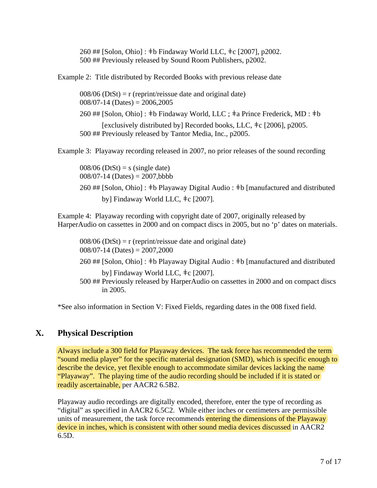260 ## [Solon, Ohio] : ǂb Findaway World LLC, ǂc [2007], p2002. 500 ## Previously released by Sound Room Publishers, p2002.

Example 2: Title distributed by Recorded Books with previous release date

 $008/06$  (DtSt) = r (reprint/reissue date and original date)  $008/07-14$  (Dates) =  $2006,2005$ 

260 ## [Solon, Ohio] : ǂb Findaway World, LLC ; ǂa Prince Frederick, MD : ǂb

[exclusively distributed by] Recorded books, LLC,  $\pm c$  [2006], p2005. 500 ## Previously released by Tantor Media, Inc., p2005.

Example 3: Playaway recording released in 2007, no prior releases of the sound recording

 $008/06$  (DtSt) = s (single date)  $008/07-14$  (Dates) = 2007,bbbb

260 ## [Solon, Ohio] : ǂb Playaway Digital Audio : ǂb [manufactured and distributed by] Findaway World LLC, ǂc [2007].

Example 4: Playaway recording with copyright date of 2007, originally released by HarperAudio on cassettes in 2000 and on compact discs in 2005, but no 'p' dates on materials.

 $008/06$  (DtSt) = r (reprint/reissue date and original date)  $008/07-14$  (Dates) = 2007,2000

260 ## [Solon, Ohio] : ǂb Playaway Digital Audio : ǂb [manufactured and distributed

by] Findaway World LLC, ǂc [2007]. 500 ## Previously released by HarperAudio on cassettes in 2000 and on compact discs in 2005.

\*See also information in Section V: Fixed Fields, regarding dates in the 008 fixed field.

# **X. Physical Description**

Always include a 300 field for Playaway devices. The task force has recommended the term "sound media player" for the specific material designation (SMD), which is specific enough to describe the device, yet flexible enough to accommodate similar devices lacking the name "Playaway". The playing time of the audio recording should be included if it is stated or readily ascertainable, per AACR2 6.5B2.

Playaway audio recordings are digitally encoded, therefore, enter the type of recording as "digital" as specified in AACR2 6.5C2. While either inches or centimeters are permissible units of measurement, the task force recommends entering the dimensions of the Playaway device in inches, which is consistent with other sound media devices discussed in AACR2 6.5D.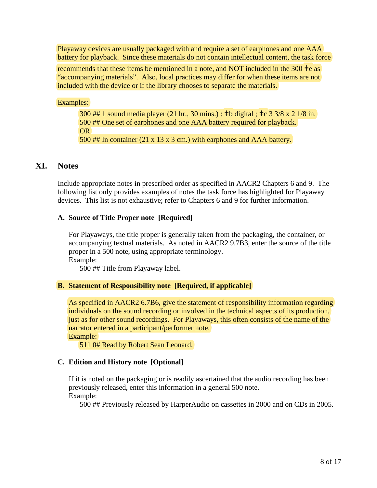Playaway devices are usually packaged with and require a set of earphones and one AAA battery for playback. Since these materials do not contain intellectual content, the task force

recommends that these items be mentioned in a note, and NOT included in the 300  $\pm e$  as "accompanying materials". Also, local practices may differ for when these items are not included with the device or if the library chooses to separate the materials.

Examples:

300 ## 1 sound media player (21 hr., 30 mins.) : ǂb digital ; ǂc 3 3/8 x 2 1/8 in. 500 ## One set of earphones and one AAA battery required for playback. OR 500 ## In container (21 x 13 x 3 cm.) with earphones and AAA battery.

# **XI. Notes**

Include appropriate notes in prescribed order as specified in AACR2 Chapters 6 and 9. The following list only provides examples of notes the task force has highlighted for Playaway devices. This list is not exhaustive; refer to Chapters 6 and 9 for further information.

## **A. Source of Title Proper note [Required]**

For Playaways, the title proper is generally taken from the packaging, the container, or accompanying textual materials. As noted in AACR2 9.7B3, enter the source of the title proper in a 500 note, using appropriate terminology. Example:

500 ## Title from Playaway label.

## **B. Statement of Responsibility note [Required, if applicable]**

As specified in AACR2 6.7B6, give the statement of responsibility information regarding individuals on the sound recording or involved in the technical aspects of its production, just as for other sound recordings. For Playaways, this often consists of the name of the narrator entered in a participant/performer note. Example:

511 0# Read by Robert Sean Leonard.

## **C. Edition and History note [Optional]**

If it is noted on the packaging or is readily ascertained that the audio recording has been previously released, enter this information in a general 500 note. Example:

500 ## Previously released by HarperAudio on cassettes in 2000 and on CDs in 2005.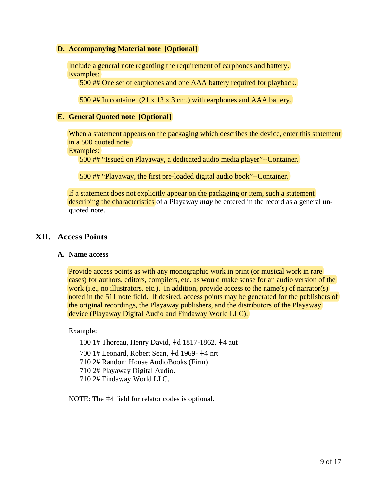### **D. Accompanying Material note [Optional]**

Include a general note regarding the requirement of earphones and battery. Examples:

500 ## One set of earphones and one AAA battery required for playback.

500 ## In container (21 x 13 x 3 cm.) with earphones and AAA battery.

#### **E. General Quoted note [Optional]**

When a statement appears on the packaging which describes the device, enter this statement in a 500 quoted note.

Examples:

500 ## "Issued on Playaway, a dedicated audio media player"--Container.

500 ## "Playaway, the first pre-loaded digital audio book"--Container.

If a statement does not explicitly appear on the packaging or item, such a statement describing the characteristics of a Playaway *may* be entered in the record as a general unquoted note.

## **XII. Access Points**

#### **A. Name access**

Provide access points as with any monographic work in print (or musical work in rare cases) for authors, editors, compilers, etc. as would make sense for an audio version of the work (i.e., no illustrators, etc.). In addition, provide access to the name(s) of narrator(s) noted in the 511 note field. If desired, access points may be generated for the publishers of the original recordings, the Playaway publishers, and the distributors of the Playaway device (Playaway Digital Audio and Findaway World LLC).

Example:

 100 1# Thoreau, Henry David, ǂd 1817-1862. ǂ4 aut 700 1# Leonard, Robert Sean, ǂd 1969- ǂ4 nrt 710 2# Random House AudioBooks (Firm) 710 2# Playaway Digital Audio. 710 2# Findaway World LLC.

NOTE: The  $\pm 4$  field for relator codes is optional.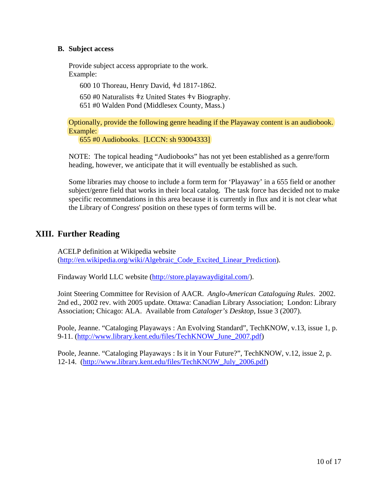## **B. Subject access**

Provide subject access appropriate to the work. Example:

600 10 Thoreau, Henry David, ǂd 1817-1862.

650 #0 Naturalists  $\pm z$  United States  $\pm v$  Biography.

651 #0 Walden Pond (Middlesex County, Mass.)

Optionally, provide the following genre heading if the Playaway content is an audiobook. Example:

655 #0 Audiobooks. [LCCN: sh 93004333]

NOTE: The topical heading "Audiobooks" has not yet been established as a genre/form heading, however, we anticipate that it will eventually be established as such.

Some libraries may choose to include a form term for 'Playaway' in a 655 field or another subject/genre field that works in their local catalog. The task force has decided not to make specific recommendations in this area because it is currently in flux and it is not clear what the Library of Congress' position on these types of form terms will be.

# **XIII. Further Reading**

ACELP definition at Wikipedia website (http://en.wikipedia.org/wiki/Algebraic\_Code\_Excited\_Linear\_Prediction).

Findaway World LLC website (http://store.playawaydigital.com/).

Joint Steering Committee for Revision of AACR. *Anglo-American Cataloguing Rules*. 2002. 2nd ed., 2002 rev. with 2005 update. Ottawa: Canadian Library Association; London: Library Association; Chicago: ALA. Available from *Cataloger's Desktop*, Issue 3 (2007).

Poole, Jeanne. "Cataloging Playaways : An Evolving Standard", TechKNOW, v.13, issue 1, p. 9-11. (http://www.library.kent.edu/files/TechKNOW\_June\_2007.pdf)

Poole, Jeanne. "Cataloging Playaways : Is it in Your Future?", TechKNOW, v.12, issue 2, p. 12-14. (http://www.library.kent.edu/files/TechKNOW\_July\_2006.pdf)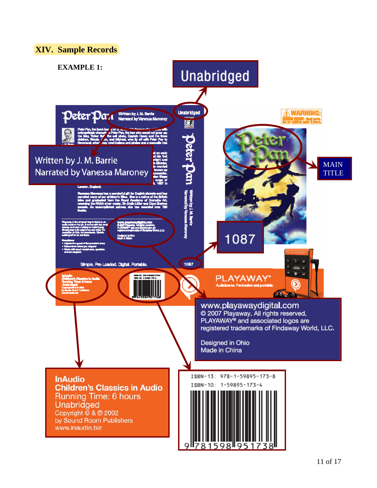## **XIV. Sample Records**

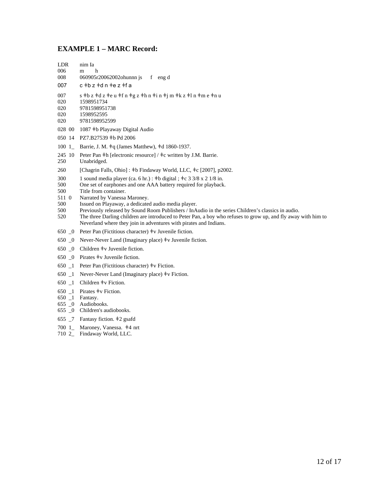#### **EXAMPLE 1 – MARC Record:**

| <b>LDR</b> | nim Ia                                                        |
|------------|---------------------------------------------------------------|
| 006        | h<br>m                                                        |
| 008        | $060905r20062002$ ohunnn is f<br>eng d                        |
| 007        | $c \neq b$ z $\neq$ d n $\neq$ e z $\neq$ f a                 |
| 007        | s ‡b z ‡d z ‡e u ‡f n ‡g z ‡h n ‡i n ‡j m ‡k z ‡l n ‡m e ‡n u |
| 020        | 1598951734                                                    |
| 020        | 9781598951738                                                 |
| 020        | 1598952595                                                    |
| 020        | 9781598952599                                                 |
| 028 00     | 1087 <sup>‡</sup> b Playaway Digital Audio                    |
|            | 050 14 PZ7.B27539 #b Pd 2006                                  |
| 100 1      | Barrie, J. M. $\pm q$ (James Matthew), $\pm d$ 1860-1937.     |

- 245 10 Peter Pan ‡h [electronic resource] / ‡c written by J.M. Barrie.<br>250 Unabridged.
- Unabridged.
- 260 [Chagrin Falls, Ohio] : ‡b Findaway World, LLC, ‡c [2007], p2002.
- 300 1 sound media player (ca. 6 hr.) :  $\pm$ b digital ;  $\pm$ c 3 3/8 x 2 1/8 in.<br>500 One set of earphones and one AAA battery required for playback
- 500 One set of earphones and one AAA battery required for playback.<br>500 Title from container.
- 500 Title from container.<br>511 0 Narrated by Vanessa
- 511 0 Narrated by Vanessa Maroney.<br>500 Issued on Plavaway, a dedicated
- 500 Issued on Playaway, a dedicated audio media player.<br>500 Previously released by Sound Room Publishers / InA
- 500 Previously released by Sound Room Publishers / InAudio in the series Children's classics in audio.<br>520 The three Darling children are introduced to Peter Pan. a boy who refuses to grow up, and fly away
- The three Darling children are introduced to Peter Pan, a boy who refuses to grow up, and fly away with him to Neverland where they join in adventures with pirates and Indians.
- 650  $\,$  0 Peter Pan (Fictitious character)  $\pm v$  Juvenile fiction.
- 650 \_0 Never-Never Land (Imaginary place) ǂv Juvenile fiction.
- 650 \_0 Children ǂv Juvenile fiction.
- 650 \_0 Pirates ǂv Juvenile fiction.
- 650  $\Box$  Peter Pan (Fictitious character)  $\pm v$  Fiction.
- 650  $\_\_1$  Never-Never Land (Imaginary place)  $\pm$ v Fiction.
- 650 \_1 Children ǂv Fiction.
- 650  $1$  Pirates  $\neq$ v Fiction.
- 650 \_1 Fantasy.
- 655 \_0 Audiobooks.
- 655 \_0 Children's audiobooks.
- 655 \_7 Fantasy fiction. ǂ2 gsafd
- 700 1\_ Maroney, Vanessa. ǂ4 nrt
- 710 2\_ Findaway World, LLC.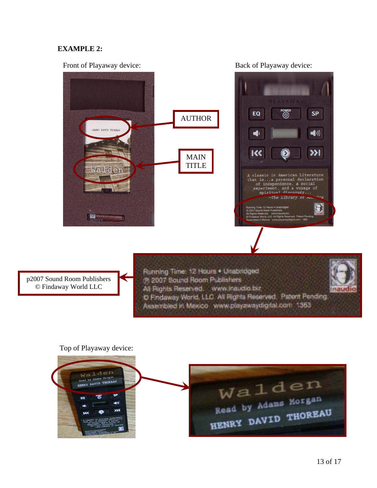## **EXAMPLE 2:**

#### Front of Playaway device: Back of Playaway device:





p2007 Sound Room Publishers © Findaway World LLC

Running Time: 12 Hours . Unabridged (R 2007 Sound Room Publishers All Rights Reserved. www.inaudio.but naux C Findaway World, LLC All Rights Reserved. Patent Pending. Assembled in Mexico www.playawaydigital.com 1363

#### Top of Playaway device:

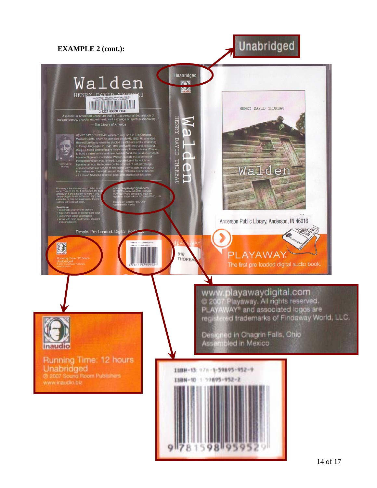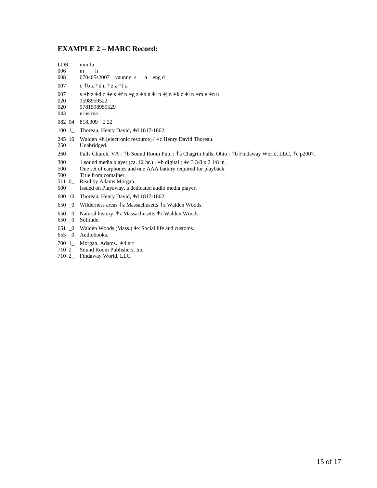## **EXAMPLE 2 – MARC Record:**

| <b>LDR</b><br>006<br>008 | nim Ia<br>h<br>m<br>070405s2007<br>a engd<br>vaunnn s                                                                                                                       |
|--------------------------|-----------------------------------------------------------------------------------------------------------------------------------------------------------------------------|
| 007                      | $c \neq b$ z $\neq$ d n $\neq$ e z $\neq$ f a                                                                                                                               |
| 007<br>020<br>020<br>043 | s $\pm$ b z $\pm$ d z $\pm$ e s $\pm$ f n $\pm$ g z $\pm$ h n $\pm$ i n $\pm$ j n $\pm$ k z $\pm$ l n $\pm$ m e $\pm$ n u<br>1598959522<br>9781598959529<br>n-us-ma         |
| 082 04                   | $818.309 \pm 222$                                                                                                                                                           |
| 1001                     | Thoreau, Henry David, #d 1817-1862.                                                                                                                                         |
| 245 10<br>250            | Walden $\pm h$ [electronic resource] / $\pm c$ Henry David Thoreau.<br>Unabridged.                                                                                          |
| 260                      | Falls Church, VA: $\pm b$ Sound Room Pub.; $\pm a$ Chagrin Falls, Ohio: $\pm b$ Findaway World, LLC, $\pm c$ p2007.                                                         |
| 300<br>500<br>500        | 1 sound media player (ca. 12 hr.) : $\pm b$ digital ; $\pm c$ 3 3/8 x 2 1/8 in.<br>One set of earphones and one AAA battery required for playback.<br>Title from container. |
| $\epsilon$ 11 $\alpha$   | $\mathbf{D}$ is a set of $\mathbf{D}$                                                                                                                                       |

- 511 0\_ Read by Adams Morgan.
- 500 Issued on Playaway, a dedicated audio media player.
- 600 10 Thoreau, Henry David, ǂd 1817-1862.
- 650 \_0 Wilderness areas ǂz Massachusetts ǂz Walden Woods.
- 650 \_0 Natural history ǂz Massachusetts ǂz Walden Woods.
- 650 \_0 Solitude.
- 651  $\_\_0$  Walden Woods (Mass.)  $\pm$ x Social life and customs.
- 655 \_0 Audiobooks.
- 700 1\_ Morgan, Adams. ǂ4 nrt
- 710 2\_ Sound Room Publishers, Inc.
- 710 2\_ Findaway World, LLC.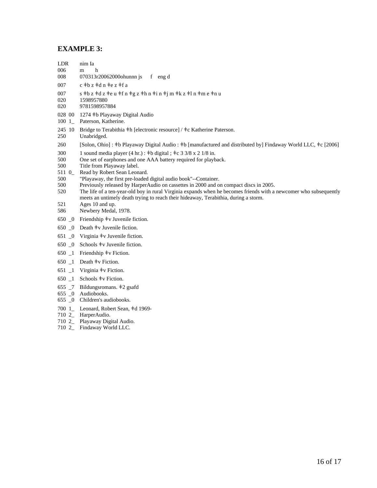#### **EXAMPLE 3:**

- LDR nim Ia 006 m h 008 070313r20062000ohunnn js f eng d 007 c  $\pm$ b z  $\pm$ d n  $\pm$ e z  $\pm$ f a 007 s ‡b z ‡d z ‡e u ‡f n ‡g z ‡h n ‡i n ‡j m ‡k z ‡l n ‡m e ‡n u<br>020 1598957880 1598957880 020 9781598957884 028 00 1274 ǂb Playaway Digital Audio 100 1\_ Paterson, Katherine. 245 10 Bridge to Terabithia  $\pm h$  [electronic resource] /  $\pm c$  Katherine Paterson.<br>250 Unabridged. Unabridged. 260 [Solon, Ohio] : ǂb Playaway Digital Audio : ǂb [manufactured and distributed by] Findaway World LLC, ǂc [2006] 300 1 sound media player  $(4 \text{ hr.})$ :  $\pm \text{b}$  digital ;  $\pm \text{c}$  3 3/8 x 2 1/8 in.<br>500 One set of earphones and one AAA battery required for playb One set of earphones and one AAA battery required for playback. 500 Title from Playaway label. 511 0\_ Read by Robert Sean Leonard. 500 "Playaway, the first pre-loaded digital audio book"--Container. 500 Previously released by HarperAudio on cassettes in 2000 and on compact discs in 2005. 520 The life of a ten-year-old boy in rural Virginia expands when he becomes friends with a newcomer who subsequently meets an untimely death trying to reach their hideaway, Terabithia, during a storm. 521 Ages 10 and up. 586 Newbery Medal, 1978. 650 \_0 Friendship ǂv Juvenile fiction. 650 \_0 Death ǂv Juvenile fiction. 651 \_0 Virginia ǂv Juvenile fiction. 650 \_0 Schools ǂv Juvenile fiction. 650  $\_\$ 1 Friendship  $\pm v$  Fiction. 650 \_1 Death ǂv Fiction. 651  $\Box$  Virginia  $\pm$ v Fiction. 650  $1$  Schools  $\pm v$  Fiction. 655 \_7 Bildungsromans. ǂ2 gsafd 655 \_0 Audiobooks. 655 \_0 Children's audiobooks. 700 1\_ Leonard, Robert Sean, ǂd 1969-
- 710 2\_ HarperAudio. 710 2\_ Playaway Digital Audio.
- 710 2\_ Findaway World LLC.